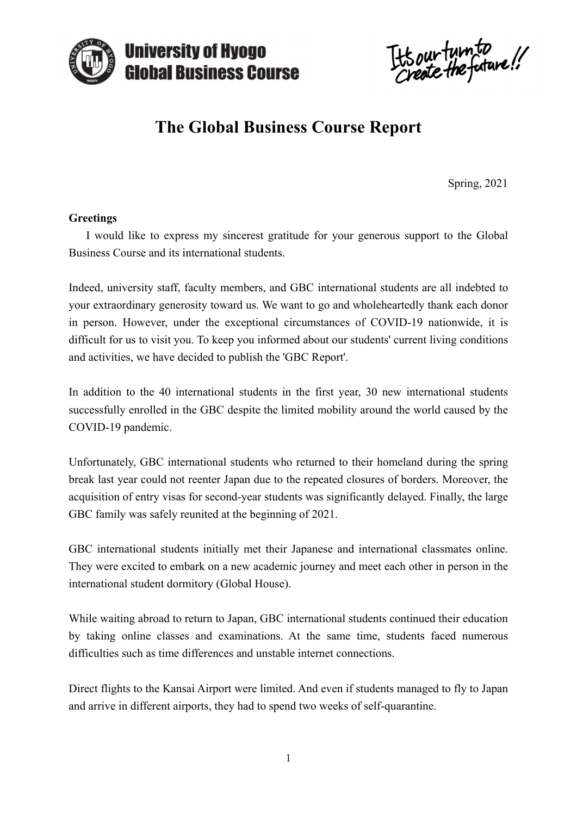

Its our turn to

# **The Global Business Course Report**

Spring, 2021

#### **Greetings**

 I would like to express my sincerest gratitude for your generous support to the Global Business Course and its international students.

Indeed, university staff, faculty members, and GBC international students are all indebted to your extraordinary generosity toward us. We want to go and wholeheartedly thank each donor in person. However, under the exceptional circumstances of COVID-19 nationwide, it is difficult for us to visit you. To keep you informed about our students' current living conditions and activities, we have decided to publish the 'GBC Report'.

In addition to the 40 international students in the first year, 30 new international students successfully enrolled in the GBC despite the limited mobility around the world caused by the COVID-19 pandemic.

Unfortunately, GBC international students who returned to their homeland during the spring break last year could not reenter Japan due to the repeated closures of borders. Moreover, the acquisition of entry visas for second-year students was significantly delayed. Finally, the large GBC family was safely reunited at the beginning of 2021.

GBC international students initially met their Japanese and international classmates online. They were excited to embark on a new academic journey and meet each other in person in the international student dormitory (Global House).

While waiting abroad to return to Japan, GBC international students continued their education by taking online classes and examinations. At the same time, students faced numerous difficulties such as time differences and unstable internet connections.

Direct flights to the Kansai Airport were limited. And even if students managed to fly to Japan and arrive in different airports, they had to spend two weeks of self-quarantine.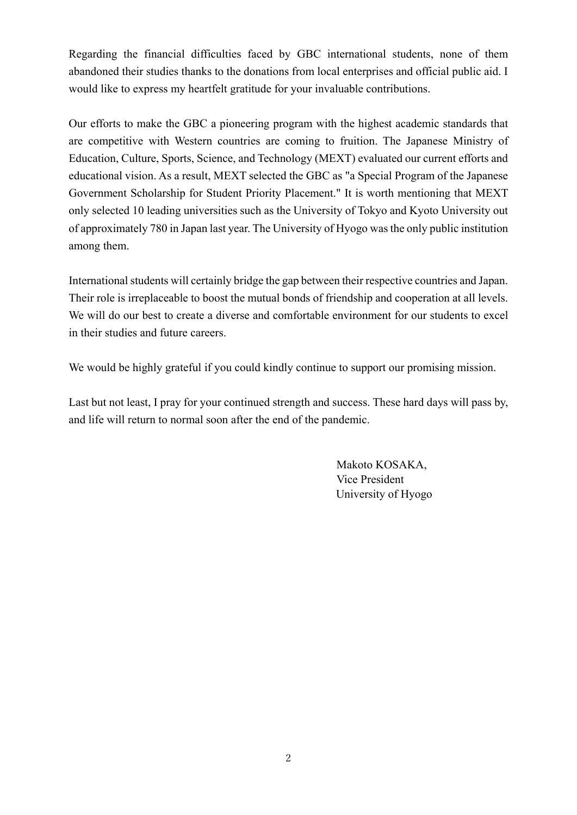Regarding the financial difficulties faced by GBC international students, none of them abandoned their studies thanks to the donations from local enterprises and official public aid. I would like to express my heartfelt gratitude for your invaluable contributions.

Our efforts to make the GBC a pioneering program with the highest academic standards that are competitive with Western countries are coming to fruition. The Japanese Ministry of Education, Culture, Sports, Science, and Technology (MEXT) evaluated our current efforts and educational vision. As a result, MEXT selected the GBC as "a Special Program of the Japanese Government Scholarship for Student Priority Placement." It is worth mentioning that MEXT only selected 10 leading universities such as the University of Tokyo and Kyoto University out of approximately 780 in Japan last year. The University of Hyogo was the only public institution among them.

International students will certainly bridge the gap between their respective countries and Japan. Their role is irreplaceable to boost the mutual bonds of friendship and cooperation at all levels. We will do our best to create a diverse and comfortable environment for our students to excel in their studies and future careers.

We would be highly grateful if you could kindly continue to support our promising mission.

Last but not least, I pray for your continued strength and success. These hard days will pass by, and life will return to normal soon after the end of the pandemic.

> Makoto KOSAKA, Vice President University of Hyogo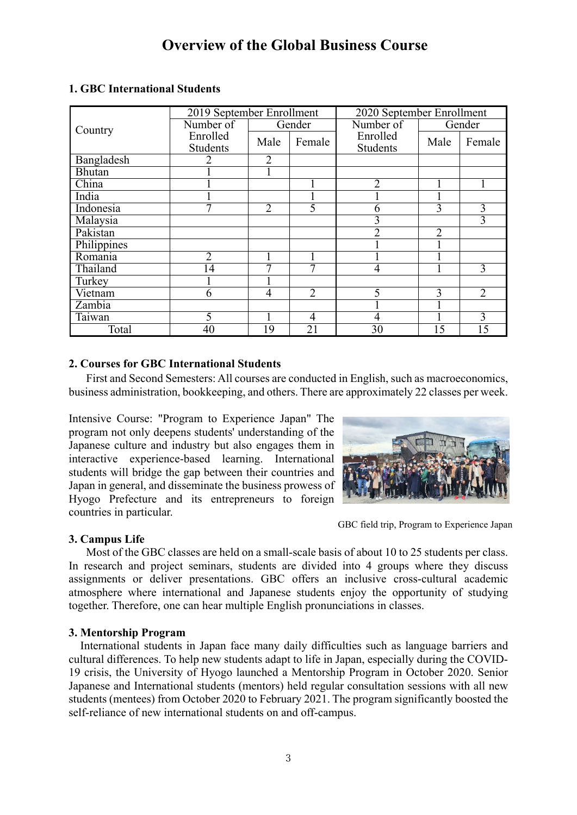| Country     | 2019 September Enrollment |        |                | 2020 September Enrollment |                 |                |
|-------------|---------------------------|--------|----------------|---------------------------|-----------------|----------------|
|             | Number of                 | Gender |                | Number of                 | Gender          |                |
|             | Enrolled                  | Male   | Female         | Enrolled                  | Male            | Female         |
|             | <b>Students</b>           |        |                | <b>Students</b>           |                 |                |
| Bangladesh  |                           | 2      |                |                           |                 |                |
| Bhutan      |                           |        |                |                           |                 |                |
| China       |                           |        |                | $\overline{2}$            |                 |                |
| India       |                           |        |                |                           |                 |                |
| Indonesia   |                           | 2      | 5              | b                         | 3               | 3              |
| Malaysia    |                           |        |                | 3                         |                 | 3              |
| Pakistan    |                           |        |                | C                         | 2               |                |
| Philippines |                           |        |                |                           |                 |                |
| Romania     |                           |        |                |                           |                 |                |
| Thailand    | 14                        | −      | ┑              | $\overline{4}$            |                 | 3              |
| Turkey      |                           |        |                |                           |                 |                |
| Vietnam     | 6                         | 4      | $\overline{2}$ | 5                         | 3               | $\overline{2}$ |
| Zambia      |                           |        |                |                           |                 |                |
| Taiwan      | 5                         |        | 4              | 4                         |                 | 3              |
| Total       | 40                        | 19     | 21             | 30                        | $1\overline{5}$ |                |

# **1. GBC International Students**

# **2. Courses for GBC International Students**

 First and Second Semesters: All courses are conducted in English, such as macroeconomics, business administration, bookkeeping, and others. There are approximately 22 classes per week.

Intensive Course: "Program to Experience Japan" The program not only deepens students' understanding of the Japanese culture and industry but also engages them in interactive experience-based learning. International students will bridge the gap between their countries and Japan in general, and disseminate the business prowess of Hyogo Prefecture and its entrepreneurs to foreign countries in particular.



GBC field trip, Program to Experience Japan

# **3. Campus Life**

 Most of the GBC classes are held on a small-scale basis of about 10 to 25 students per class. In research and project seminars, students are divided into 4 groups where they discuss assignments or deliver presentations. GBC offers an inclusive cross-cultural academic atmosphere where international and Japanese students enjoy the opportunity of studying together. Therefore, one can hear multiple English pronunciations in classes.

# **3. Mentorship Program**

 International students in Japan face many daily difficulties such as language barriers and cultural differences. To help new students adapt to life in Japan, especially during the COVID-19 crisis, the University of Hyogo launched a Mentorship Program in October 2020. Senior Japanese and International students (mentors) held regular consultation sessions with all new students (mentees) from October 2020 to February 2021. The program significantly boosted the self-reliance of new international students on and off-campus.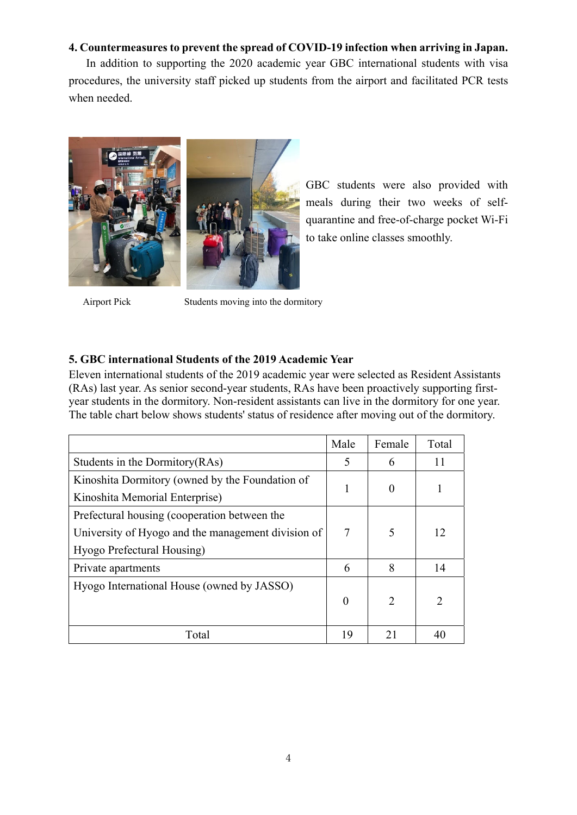# **4. Countermeasures to prevent the spread of COVID-19 infection when arriving in Japan.**

 In addition to supporting the 2020 academic year GBC international students with visa procedures, the university staff picked up students from the airport and facilitated PCR tests when needed.



GBC students were also provided with meals during their two weeks of selfquarantine and free-of-charge pocket Wi-Fi to take online classes smoothly.

Airport Pick Students moving into the dormitory

# **5. GBC international Students of the 2019 Academic Year**

Eleven international students of the 2019 academic year were selected as Resident Assistants (RAs) last year. As senior second-year students, RAs have been proactively supporting firstyear students in the dormitory. Non-resident assistants can live in the dormitory for one year. The table chart below shows students' status of residence after moving out of the dormitory.

|                                                    | Male     | Female                      | Total         |
|----------------------------------------------------|----------|-----------------------------|---------------|
| Students in the Dormitory (RAs)                    |          | 6                           | 11            |
| Kinoshita Dormitory (owned by the Foundation of    |          |                             |               |
| Kinoshita Memorial Enterprise)                     |          |                             |               |
| Prefectural housing (cooperation between the       |          |                             |               |
| University of Hyogo and the management division of |          | 5                           | 12            |
| Hyogo Prefectural Housing)                         |          |                             |               |
| Private apartments                                 |          | 8                           | 14            |
| Hyogo International House (owned by JASSO)         |          |                             |               |
|                                                    | $\theta$ | $\mathcal{D}_{\mathcal{L}}$ | $\mathcal{D}$ |
|                                                    |          |                             |               |
| Total                                              | 19       | 21                          | 4(            |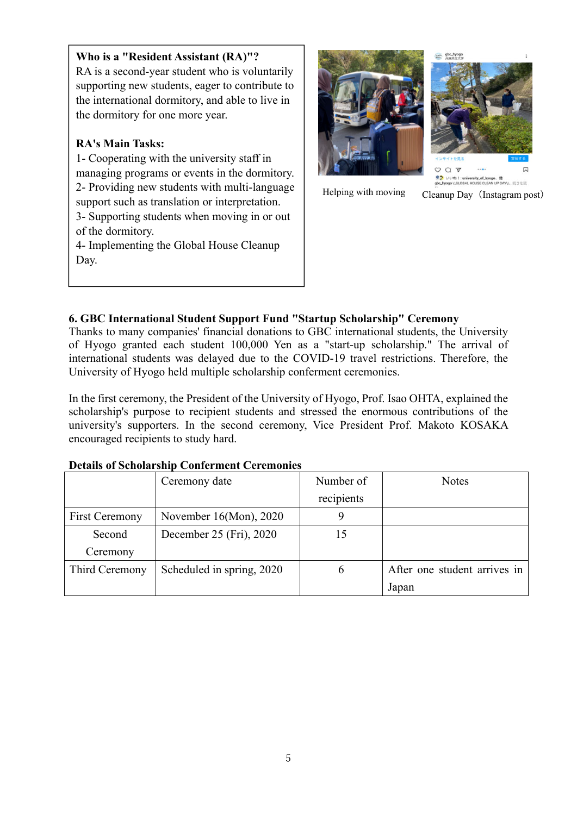# **Who is a "Resident Assistant (RA)"?**

RA is a second-year student who is voluntarily supporting new students, eager to contribute to the international dormitory, and able to live in the dormitory for one more year.

# **RA's Main Tasks:**

1- Cooperating with the university staff in managing programs or events in the dormitory. 2- Providing new students with multi-language support such as translation or interpretation. 3- Supporting students when moving in or out of the dormitory. 4- Implementing the Global House Cleanup Day.





Helping with moving Cleanup Day (Instagram post)

# **6. GBC International Student Support Fund "Startup Scholarship" Ceremony**

Thanks to many companies' financial donations to GBC international students, the University of Hyogo granted each student 100,000 Yen as a "start-up scholarship." The arrival of international students was delayed due to the COVID-19 travel restrictions. Therefore, the University of Hyogo held multiple scholarship conferment ceremonies.

In the first ceremony, the President of the University of Hyogo, Prof. Isao OHTA, explained the scholarship's purpose to recipient students and stressed the enormous contributions of the university's supporters. In the second ceremony, Vice President Prof. Makoto KOSAKA encouraged recipients to study hard.

|                       | Ceremony date             | Number of  | <b>Notes</b>                 |
|-----------------------|---------------------------|------------|------------------------------|
|                       |                           | recipients |                              |
| <b>First Ceremony</b> | November $16(Mon)$ , 2020 | 9          |                              |
| Second                | December 25 (Fri), 2020   | 15         |                              |
| Ceremony              |                           |            |                              |
| Third Ceremony        | Scheduled in spring, 2020 | 6          | After one student arrives in |
|                       |                           |            | Japan                        |

#### **Details of Scholarship Conferment Ceremonies**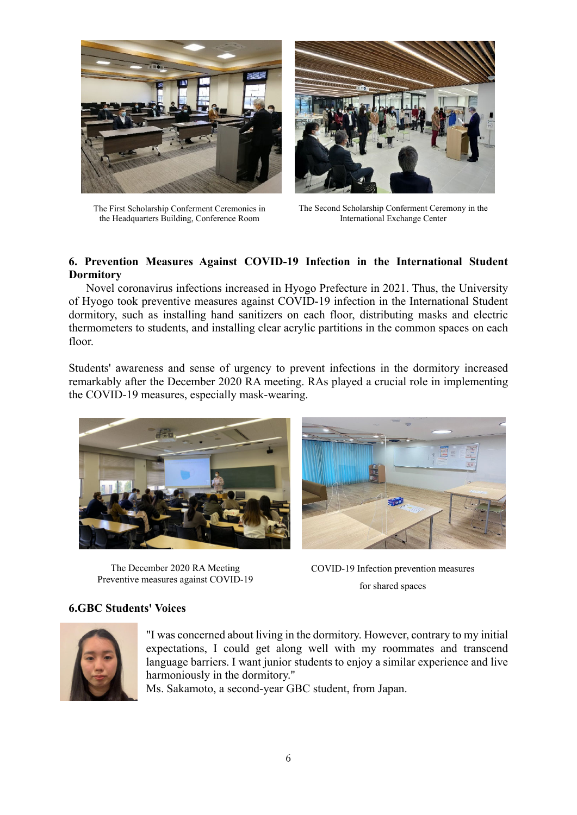

The First Scholarship Conferment Ceremonies in the Headquarters Building, Conference Room



The Second Scholarship Conferment Ceremony in the International Exchange Center

# **6. Prevention Measures Against COVID-19 Infection in the International Student Dormitory**

 Novel coronavirus infections increased in Hyogo Prefecture in 2021. Thus, the University of Hyogo took preventive measures against COVID-19 infection in the International Student dormitory, such as installing hand sanitizers on each floor, distributing masks and electric thermometers to students, and installing clear acrylic partitions in the common spaces on each floor.

Students' awareness and sense of urgency to prevent infections in the dormitory increased remarkably after the December 2020 RA meeting. RAs played a crucial role in implementing the COVID-19 measures, especially mask-wearing.



The December 2020 RA Meeting Preventive measures against COVID-19

COVID-19 Infection prevention measures for shared spaces

# **6.GBC Students' Voices**



"I was concerned about living in the dormitory. However, contrary to my initial expectations, I could get along well with my roommates and transcend language barriers. I want junior students to enjoy a similar experience and live harmoniously in the dormitory."

Ms. Sakamoto, a second-year GBC student, from Japan.